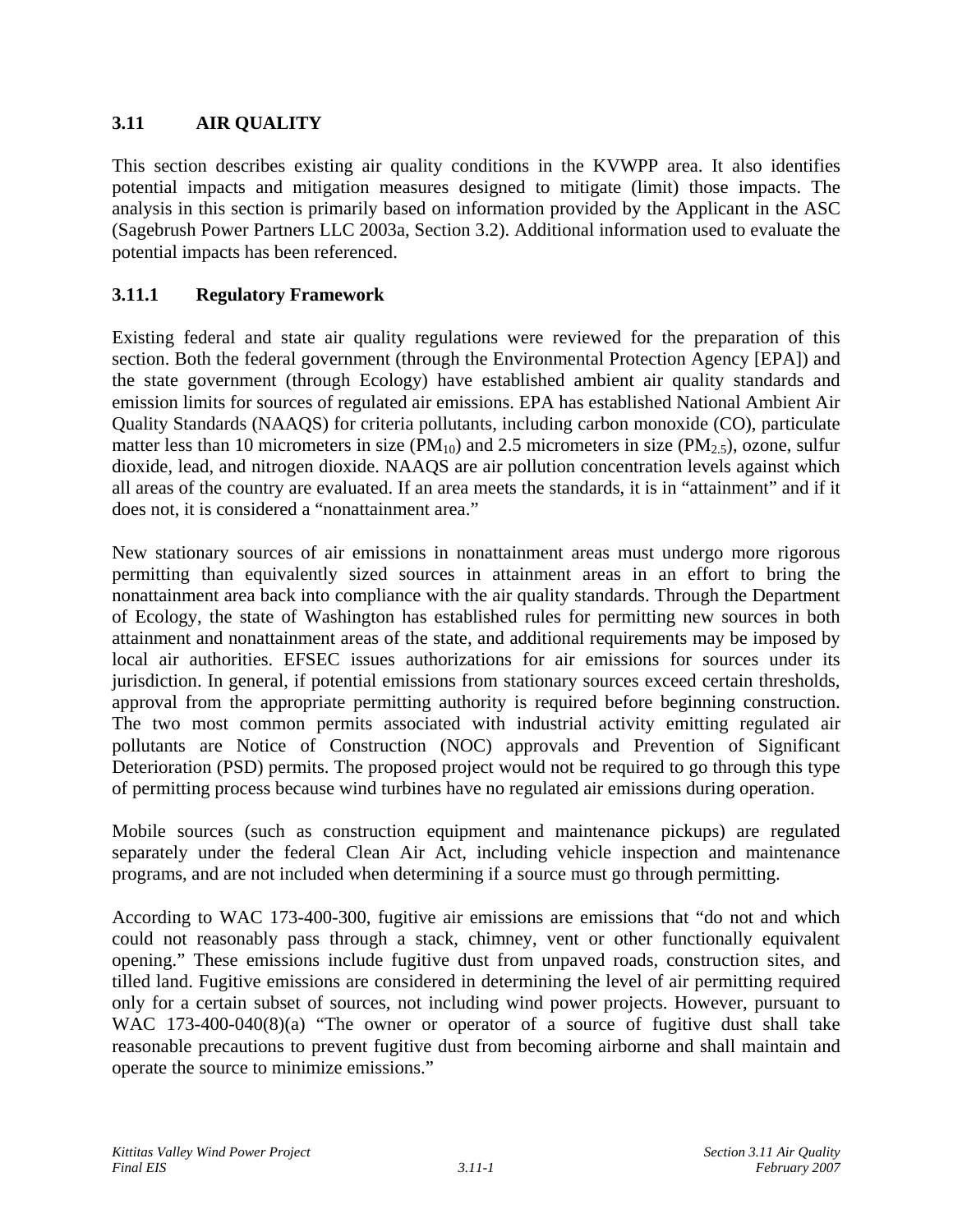# **3.11 AIR QUALITY**

This section describes existing air quality conditions in the KVWPP area. It also identifies potential impacts and mitigation measures designed to mitigate (limit) those impacts. The analysis in this section is primarily based on information provided by the Applicant in the ASC (Sagebrush Power Partners LLC 2003a, Section 3.2). Additional information used to evaluate the potential impacts has been referenced.

# **3.11.1 Regulatory Framework**

Existing federal and state air quality regulations were reviewed for the preparation of this section. Both the federal government (through the Environmental Protection Agency [EPA]) and the state government (through Ecology) have established ambient air quality standards and emission limits for sources of regulated air emissions. EPA has established National Ambient Air Quality Standards (NAAQS) for criteria pollutants, including carbon monoxide (CO), particulate matter less than 10 micrometers in size ( $PM_{10}$ ) and 2.5 micrometers in size ( $PM_{2.5}$ ), ozone, sulfur dioxide, lead, and nitrogen dioxide. NAAQS are air pollution concentration levels against which all areas of the country are evaluated. If an area meets the standards, it is in "attainment" and if it does not, it is considered a "nonattainment area."

New stationary sources of air emissions in nonattainment areas must undergo more rigorous permitting than equivalently sized sources in attainment areas in an effort to bring the nonattainment area back into compliance with the air quality standards. Through the Department of Ecology, the state of Washington has established rules for permitting new sources in both attainment and nonattainment areas of the state, and additional requirements may be imposed by local air authorities. EFSEC issues authorizations for air emissions for sources under its jurisdiction. In general, if potential emissions from stationary sources exceed certain thresholds, approval from the appropriate permitting authority is required before beginning construction. The two most common permits associated with industrial activity emitting regulated air pollutants are Notice of Construction (NOC) approvals and Prevention of Significant Deterioration (PSD) permits. The proposed project would not be required to go through this type of permitting process because wind turbines have no regulated air emissions during operation.

Mobile sources (such as construction equipment and maintenance pickups) are regulated separately under the federal Clean Air Act, including vehicle inspection and maintenance programs, and are not included when determining if a source must go through permitting.

According to WAC 173-400-300, fugitive air emissions are emissions that "do not and which could not reasonably pass through a stack, chimney, vent or other functionally equivalent opening." These emissions include fugitive dust from unpaved roads, construction sites, and tilled land. Fugitive emissions are considered in determining the level of air permitting required only for a certain subset of sources, not including wind power projects. However, pursuant to WAC 173-400-040(8)(a) "The owner or operator of a source of fugitive dust shall take reasonable precautions to prevent fugitive dust from becoming airborne and shall maintain and operate the source to minimize emissions."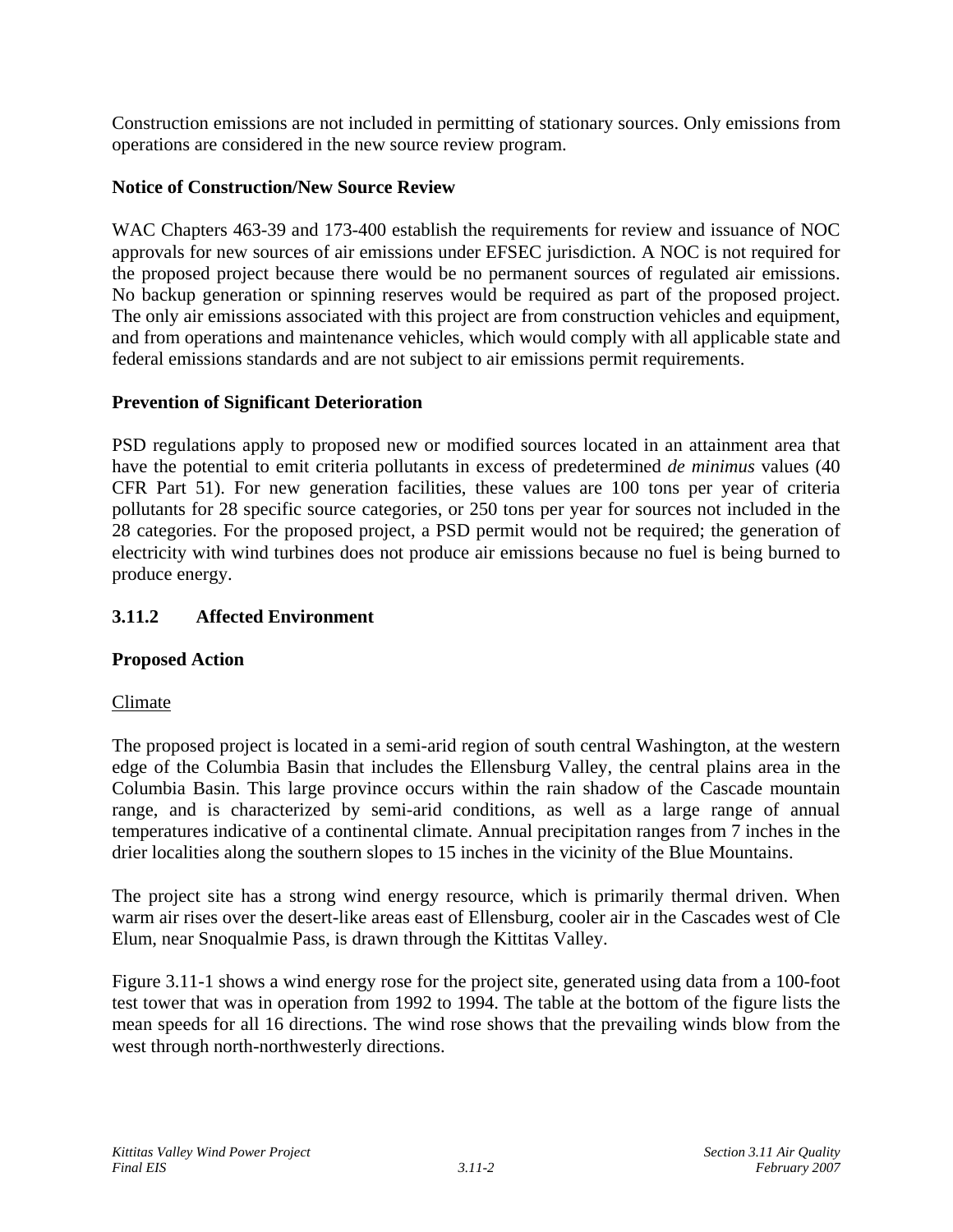Construction emissions are not included in permitting of stationary sources. Only emissions from operations are considered in the new source review program.

## **Notice of Construction/New Source Review**

WAC Chapters 463-39 and 173-400 establish the requirements for review and issuance of NOC approvals for new sources of air emissions under EFSEC jurisdiction. A NOC is not required for the proposed project because there would be no permanent sources of regulated air emissions. No backup generation or spinning reserves would be required as part of the proposed project. The only air emissions associated with this project are from construction vehicles and equipment, and from operations and maintenance vehicles, which would comply with all applicable state and federal emissions standards and are not subject to air emissions permit requirements.

## **Prevention of Significant Deterioration**

PSD regulations apply to proposed new or modified sources located in an attainment area that have the potential to emit criteria pollutants in excess of predetermined *de minimus* values (40 CFR Part 51). For new generation facilities, these values are 100 tons per year of criteria pollutants for 28 specific source categories, or 250 tons per year for sources not included in the 28 categories. For the proposed project, a PSD permit would not be required; the generation of electricity with wind turbines does not produce air emissions because no fuel is being burned to produce energy.

# **3.11.2 Affected Environment**

## **Proposed Action**

## Climate

The proposed project is located in a semi-arid region of south central Washington, at the western edge of the Columbia Basin that includes the Ellensburg Valley, the central plains area in the Columbia Basin. This large province occurs within the rain shadow of the Cascade mountain range, and is characterized by semi-arid conditions, as well as a large range of annual temperatures indicative of a continental climate. Annual precipitation ranges from 7 inches in the drier localities along the southern slopes to 15 inches in the vicinity of the Blue Mountains.

The project site has a strong wind energy resource, which is primarily thermal driven. When warm air rises over the desert-like areas east of Ellensburg, cooler air in the Cascades west of Cle Elum, near Snoqualmie Pass, is drawn through the Kittitas Valley.

Figure 3.11-1 shows a wind energy rose for the project site, generated using data from a 100-foot test tower that was in operation from 1992 to 1994. The table at the bottom of the figure lists the mean speeds for all 16 directions. The wind rose shows that the prevailing winds blow from the west through north-northwesterly directions.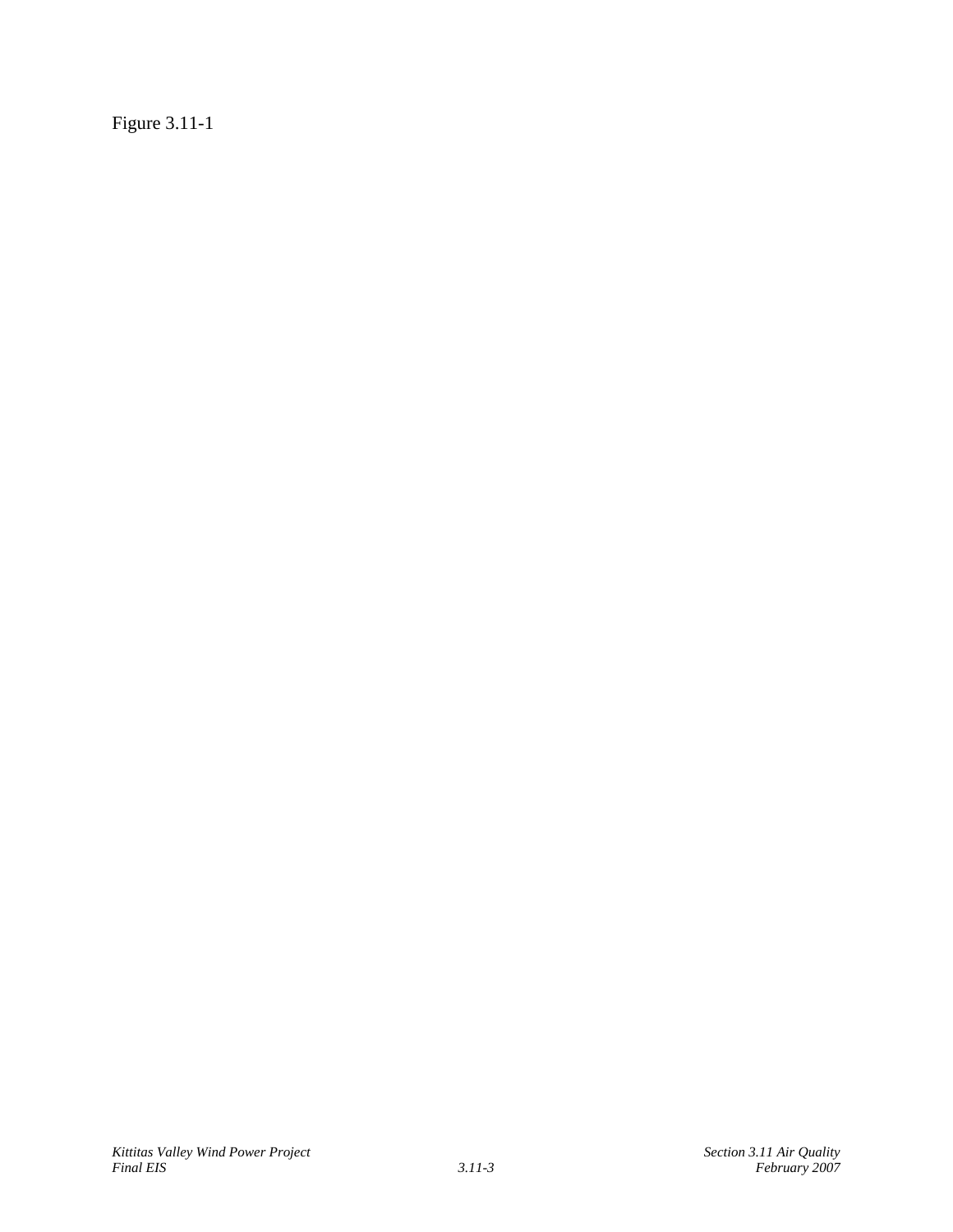Figure 3.11-1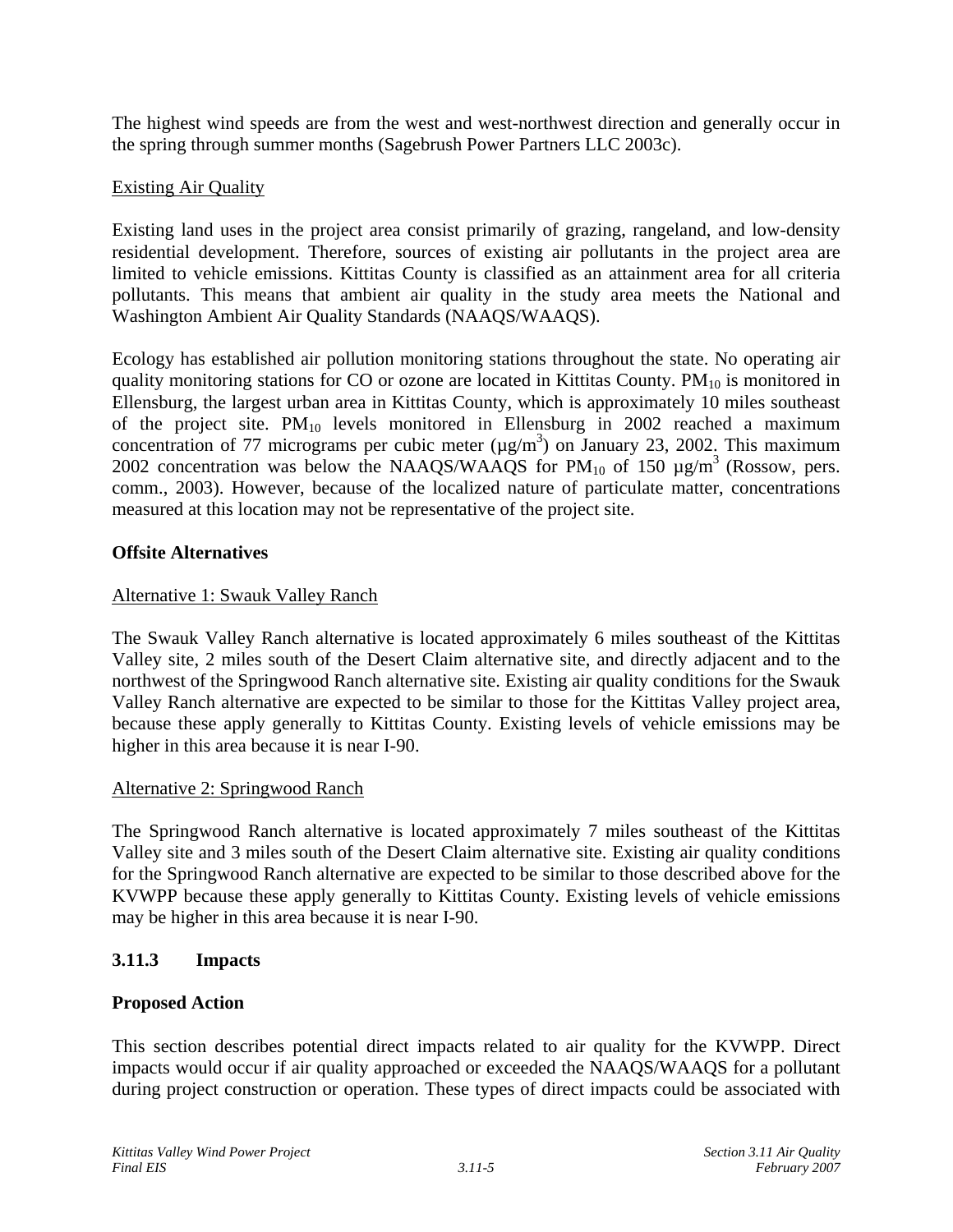The highest wind speeds are from the west and west-northwest direction and generally occur in the spring through summer months (Sagebrush Power Partners LLC 2003c).

### Existing Air Quality

Existing land uses in the project area consist primarily of grazing, rangeland, and low-density residential development. Therefore, sources of existing air pollutants in the project area are limited to vehicle emissions. Kittitas County is classified as an attainment area for all criteria pollutants. This means that ambient air quality in the study area meets the National and Washington Ambient Air Quality Standards (NAAQS/WAAQS).

Ecology has established air pollution monitoring stations throughout the state. No operating air quality monitoring stations for CO or ozone are located in Kittitas County.  $PM_{10}$  is monitored in Ellensburg, the largest urban area in Kittitas County, which is approximately 10 miles southeast of the project site.  $PM_{10}$  levels monitored in Ellensburg in 2002 reached a maximum concentration of 77 micrograms per cubic meter  $(\mu g/m^3)$  on January 23, 2002. This maximum 2002 concentration was below the NAAQS/WAAQS for  $PM_{10}$  of 150  $\mu$ g/m<sup>3</sup> (Rossow, pers. comm., 2003). However, because of the localized nature of particulate matter, concentrations measured at this location may not be representative of the project site.

### **Offsite Alternatives**

### Alternative 1: Swauk Valley Ranch

The Swauk Valley Ranch alternative is located approximately 6 miles southeast of the Kittitas Valley site, 2 miles south of the Desert Claim alternative site, and directly adjacent and to the northwest of the Springwood Ranch alternative site. Existing air quality conditions for the Swauk Valley Ranch alternative are expected to be similar to those for the Kittitas Valley project area, because these apply generally to Kittitas County. Existing levels of vehicle emissions may be higher in this area because it is near I-90.

#### Alternative 2: Springwood Ranch

The Springwood Ranch alternative is located approximately 7 miles southeast of the Kittitas Valley site and 3 miles south of the Desert Claim alternative site. Existing air quality conditions for the Springwood Ranch alternative are expected to be similar to those described above for the KVWPP because these apply generally to Kittitas County. Existing levels of vehicle emissions may be higher in this area because it is near I-90.

## **3.11.3 Impacts**

## **Proposed Action**

This section describes potential direct impacts related to air quality for the KVWPP. Direct impacts would occur if air quality approached or exceeded the NAAQS/WAAQS for a pollutant during project construction or operation. These types of direct impacts could be associated with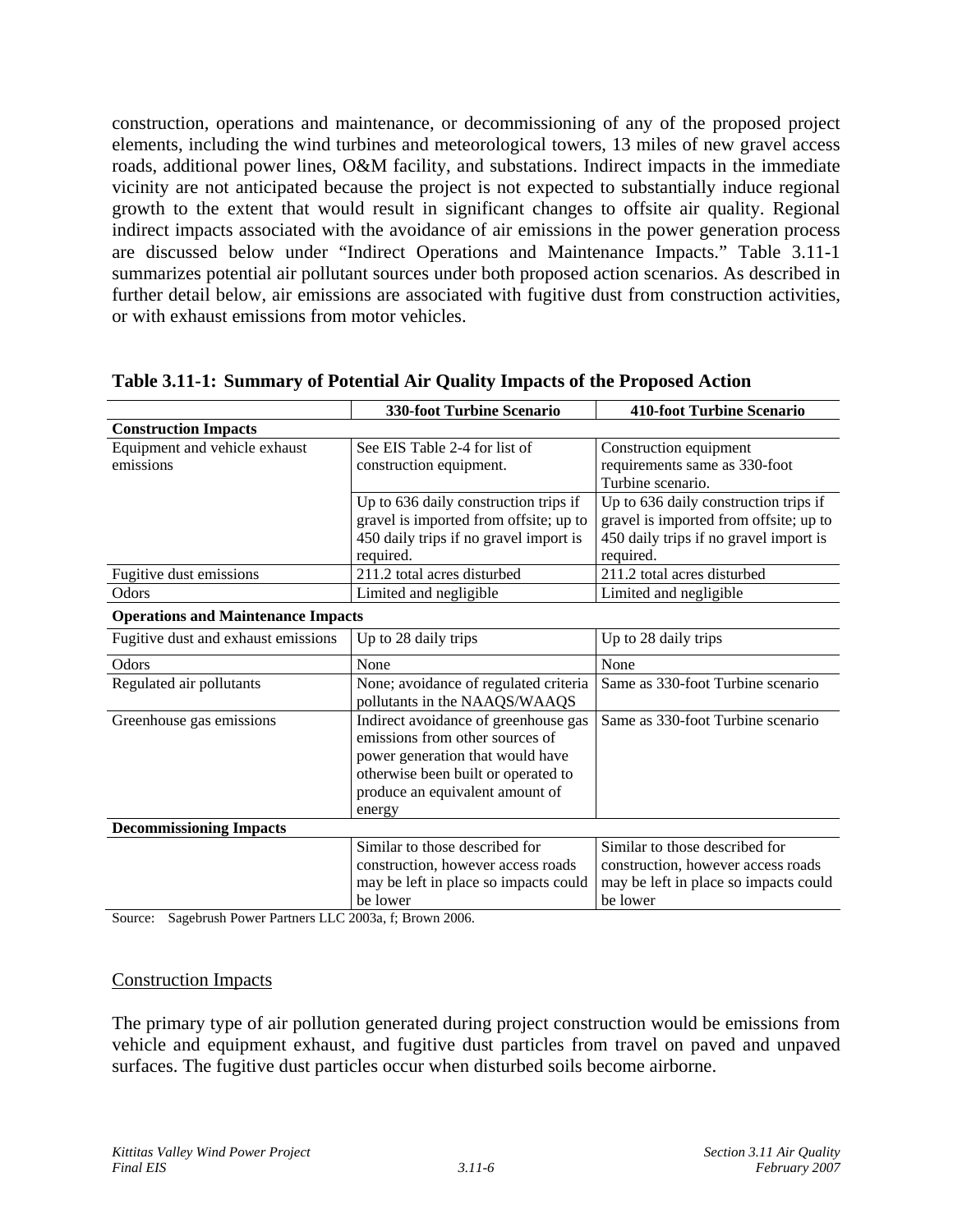construction, operations and maintenance, or decommissioning of any of the proposed project elements, including the wind turbines and meteorological towers, 13 miles of new gravel access roads, additional power lines, O&M facility, and substations. Indirect impacts in the immediate vicinity are not anticipated because the project is not expected to substantially induce regional growth to the extent that would result in significant changes to offsite air quality. Regional indirect impacts associated with the avoidance of air emissions in the power generation process are discussed below under "Indirect Operations and Maintenance Impacts." Table 3.11-1 summarizes potential air pollutant sources under both proposed action scenarios. As described in further detail below, air emissions are associated with fugitive dust from construction activities, or with exhaust emissions from motor vehicles.

|                                           | 330-foot Turbine Scenario                                  | <b>410-foot Turbine Scenario</b>       |  |  |  |  |  |
|-------------------------------------------|------------------------------------------------------------|----------------------------------------|--|--|--|--|--|
| <b>Construction Impacts</b>               |                                                            |                                        |  |  |  |  |  |
| Equipment and vehicle exhaust             | See EIS Table 2-4 for list of                              | Construction equipment                 |  |  |  |  |  |
| emissions                                 | construction equipment.                                    | requirements same as 330-foot          |  |  |  |  |  |
|                                           |                                                            | Turbine scenario.                      |  |  |  |  |  |
|                                           | Up to 636 daily construction trips if                      | Up to 636 daily construction trips if  |  |  |  |  |  |
|                                           | gravel is imported from offsite; up to                     | gravel is imported from offsite; up to |  |  |  |  |  |
|                                           | 450 daily trips if no gravel import is                     | 450 daily trips if no gravel import is |  |  |  |  |  |
|                                           | required.                                                  | required.                              |  |  |  |  |  |
| Fugitive dust emissions                   | 211.2 total acres disturbed<br>211.2 total acres disturbed |                                        |  |  |  |  |  |
| Odors                                     | Limited and negligible<br>Limited and negligible           |                                        |  |  |  |  |  |
| <b>Operations and Maintenance Impacts</b> |                                                            |                                        |  |  |  |  |  |
| Fugitive dust and exhaust emissions       | Up to 28 daily trips                                       | Up to 28 daily trips                   |  |  |  |  |  |
| Odors                                     | None                                                       | None                                   |  |  |  |  |  |
| Regulated air pollutants                  | None; avoidance of regulated criteria                      | Same as 330-foot Turbine scenario      |  |  |  |  |  |
|                                           | pollutants in the NAAQS/WAAQS                              |                                        |  |  |  |  |  |
| Greenhouse gas emissions                  | Indirect avoidance of greenhouse gas                       | Same as 330-foot Turbine scenario      |  |  |  |  |  |
|                                           | emissions from other sources of                            |                                        |  |  |  |  |  |
|                                           | power generation that would have                           |                                        |  |  |  |  |  |
|                                           | otherwise been built or operated to                        |                                        |  |  |  |  |  |
|                                           | produce an equivalent amount of                            |                                        |  |  |  |  |  |
|                                           | energy                                                     |                                        |  |  |  |  |  |
| <b>Decommissioning Impacts</b>            |                                                            |                                        |  |  |  |  |  |
|                                           | Similar to those described for                             | Similar to those described for         |  |  |  |  |  |
|                                           | construction, however access roads                         | construction, however access roads     |  |  |  |  |  |
|                                           | may be left in place so impacts could                      | may be left in place so impacts could  |  |  |  |  |  |
|                                           | be lower                                                   | be lower                               |  |  |  |  |  |

### **Table 3.11-1: Summary of Potential Air Quality Impacts of the Proposed Action**

Source: Sagebrush Power Partners LLC 2003a, f; Brown 2006.

#### Construction Impacts

The primary type of air pollution generated during project construction would be emissions from vehicle and equipment exhaust, and fugitive dust particles from travel on paved and unpaved surfaces. The fugitive dust particles occur when disturbed soils become airborne.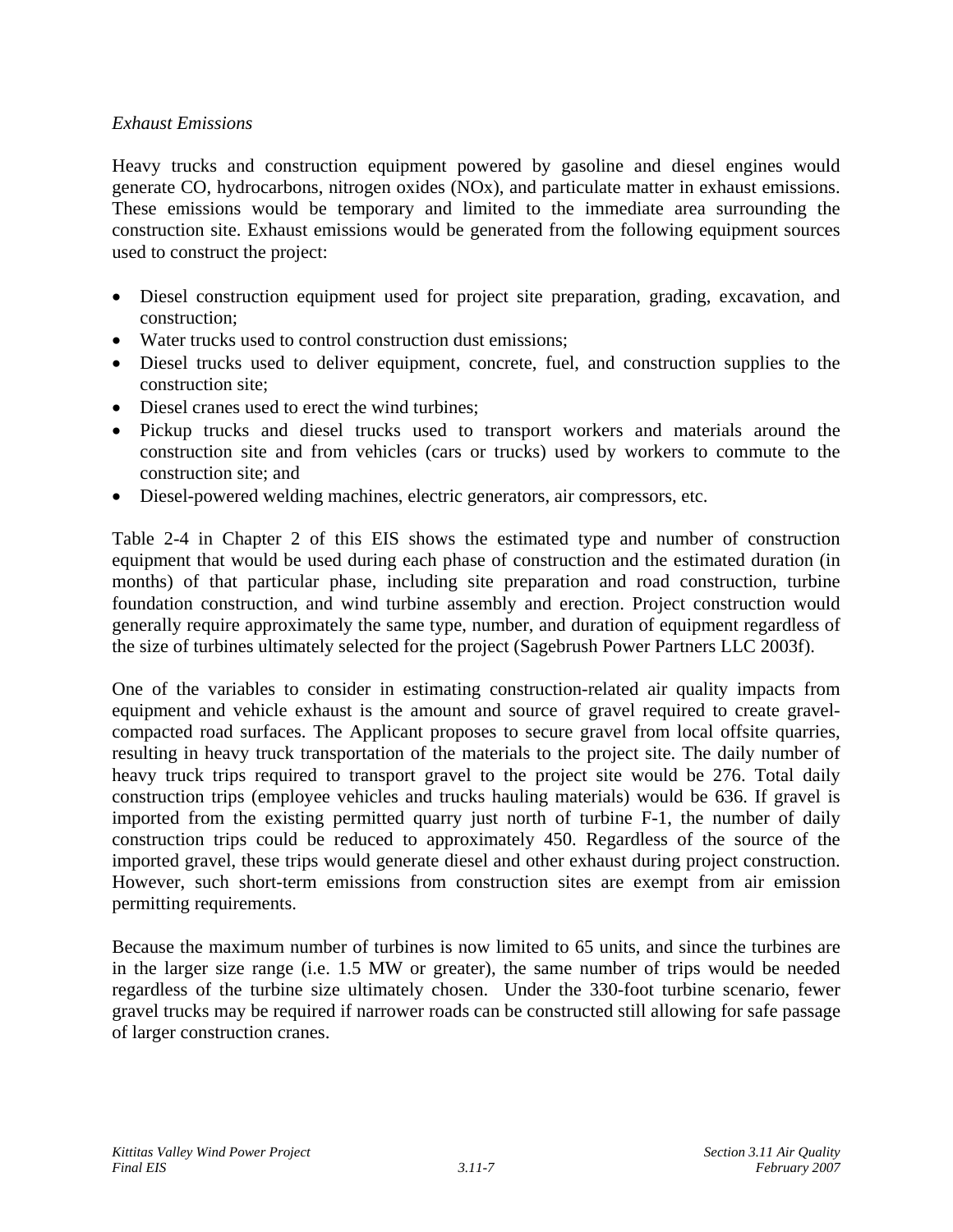### *Exhaust Emissions*

Heavy trucks and construction equipment powered by gasoline and diesel engines would generate CO, hydrocarbons, nitrogen oxides (NOx), and particulate matter in exhaust emissions. These emissions would be temporary and limited to the immediate area surrounding the construction site. Exhaust emissions would be generated from the following equipment sources used to construct the project:

- Diesel construction equipment used for project site preparation, grading, excavation, and construction;
- Water trucks used to control construction dust emissions:
- Diesel trucks used to deliver equipment, concrete, fuel, and construction supplies to the construction site;
- Diesel cranes used to erect the wind turbines;
- Pickup trucks and diesel trucks used to transport workers and materials around the construction site and from vehicles (cars or trucks) used by workers to commute to the construction site; and
- Diesel-powered welding machines, electric generators, air compressors, etc.

Table 2-4 in Chapter 2 of this EIS shows the estimated type and number of construction equipment that would be used during each phase of construction and the estimated duration (in months) of that particular phase, including site preparation and road construction, turbine foundation construction, and wind turbine assembly and erection. Project construction would generally require approximately the same type, number, and duration of equipment regardless of the size of turbines ultimately selected for the project (Sagebrush Power Partners LLC 2003f).

One of the variables to consider in estimating construction-related air quality impacts from equipment and vehicle exhaust is the amount and source of gravel required to create gravelcompacted road surfaces. The Applicant proposes to secure gravel from local offsite quarries, resulting in heavy truck transportation of the materials to the project site. The daily number of heavy truck trips required to transport gravel to the project site would be 276. Total daily construction trips (employee vehicles and trucks hauling materials) would be 636. If gravel is imported from the existing permitted quarry just north of turbine F-1, the number of daily construction trips could be reduced to approximately 450. Regardless of the source of the imported gravel, these trips would generate diesel and other exhaust during project construction. However, such short-term emissions from construction sites are exempt from air emission permitting requirements.

Because the maximum number of turbines is now limited to 65 units, and since the turbines are in the larger size range (i.e. 1.5 MW or greater), the same number of trips would be needed regardless of the turbine size ultimately chosen. Under the 330-foot turbine scenario, fewer gravel trucks may be required if narrower roads can be constructed still allowing for safe passage of larger construction cranes.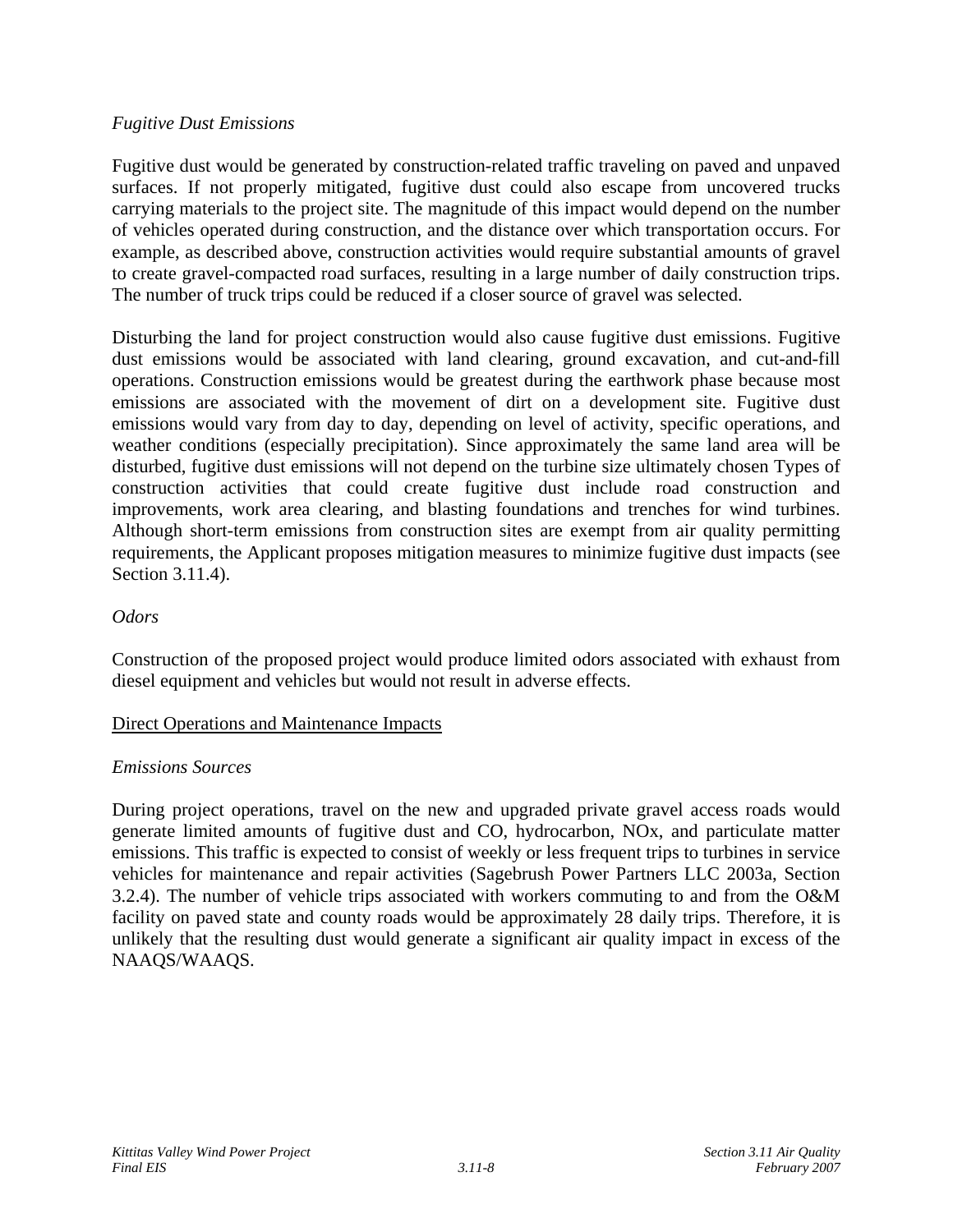### *Fugitive Dust Emissions*

Fugitive dust would be generated by construction-related traffic traveling on paved and unpaved surfaces. If not properly mitigated, fugitive dust could also escape from uncovered trucks carrying materials to the project site. The magnitude of this impact would depend on the number of vehicles operated during construction, and the distance over which transportation occurs. For example, as described above, construction activities would require substantial amounts of gravel to create gravel-compacted road surfaces, resulting in a large number of daily construction trips. The number of truck trips could be reduced if a closer source of gravel was selected.

Disturbing the land for project construction would also cause fugitive dust emissions. Fugitive dust emissions would be associated with land clearing, ground excavation, and cut-and-fill operations. Construction emissions would be greatest during the earthwork phase because most emissions are associated with the movement of dirt on a development site. Fugitive dust emissions would vary from day to day, depending on level of activity, specific operations, and weather conditions (especially precipitation). Since approximately the same land area will be disturbed, fugitive dust emissions will not depend on the turbine size ultimately chosen Types of construction activities that could create fugitive dust include road construction and improvements, work area clearing, and blasting foundations and trenches for wind turbines. Although short-term emissions from construction sites are exempt from air quality permitting requirements, the Applicant proposes mitigation measures to minimize fugitive dust impacts (see Section 3.11.4).

### *Odors*

Construction of the proposed project would produce limited odors associated with exhaust from diesel equipment and vehicles but would not result in adverse effects.

#### Direct Operations and Maintenance Impacts

## *Emissions Sources*

During project operations, travel on the new and upgraded private gravel access roads would generate limited amounts of fugitive dust and CO, hydrocarbon, NOx, and particulate matter emissions. This traffic is expected to consist of weekly or less frequent trips to turbines in service vehicles for maintenance and repair activities (Sagebrush Power Partners LLC 2003a, Section 3.2.4). The number of vehicle trips associated with workers commuting to and from the O&M facility on paved state and county roads would be approximately 28 daily trips. Therefore, it is unlikely that the resulting dust would generate a significant air quality impact in excess of the NAAQS/WAAQS.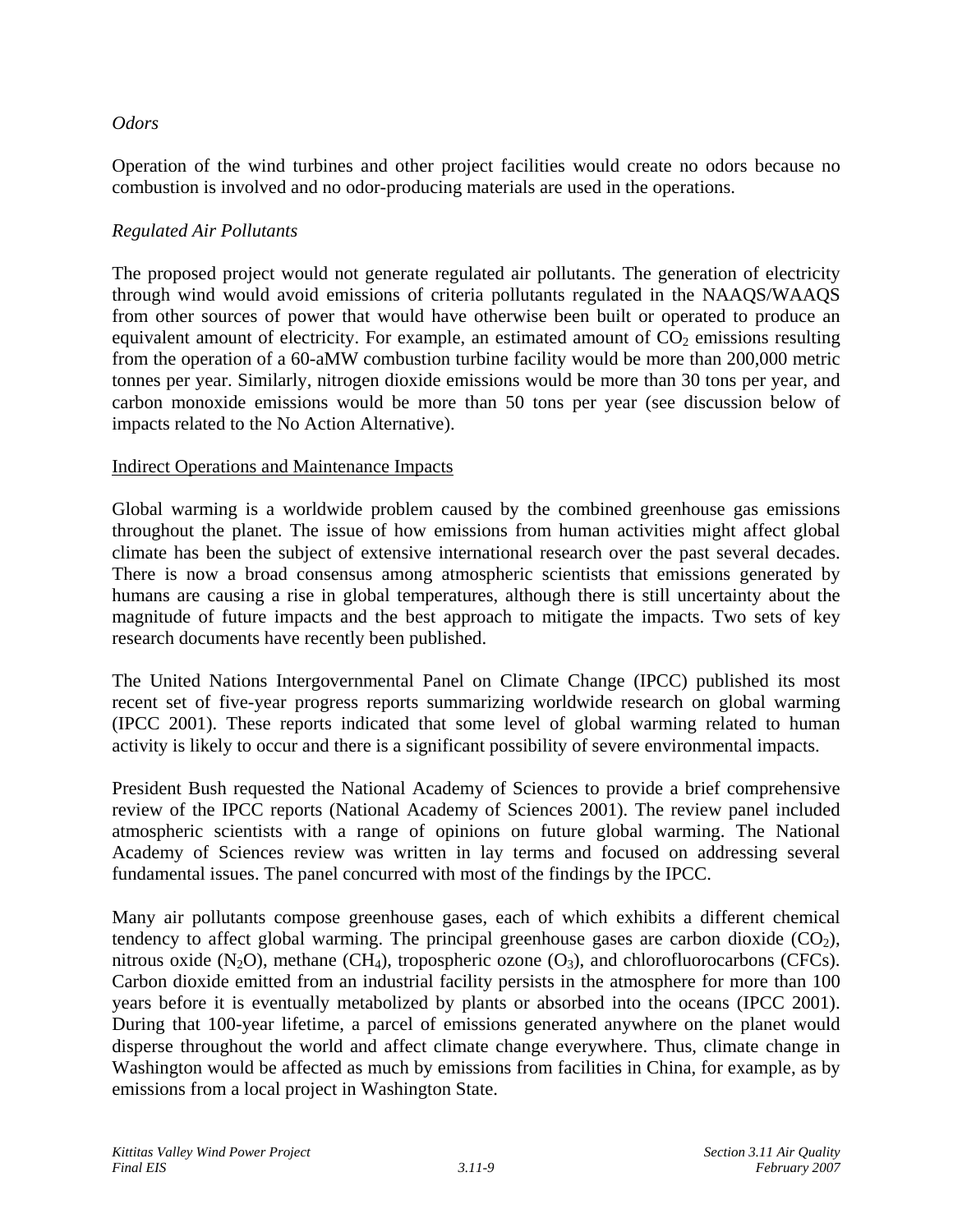### *Odors*

Operation of the wind turbines and other project facilities would create no odors because no combustion is involved and no odor-producing materials are used in the operations.

### *Regulated Air Pollutants*

The proposed project would not generate regulated air pollutants. The generation of electricity through wind would avoid emissions of criteria pollutants regulated in the NAAQS/WAAQS from other sources of power that would have otherwise been built or operated to produce an equivalent amount of electricity. For example, an estimated amount of  $CO<sub>2</sub>$  emissions resulting from the operation of a 60-aMW combustion turbine facility would be more than 200,000 metric tonnes per year. Similarly, nitrogen dioxide emissions would be more than 30 tons per year, and carbon monoxide emissions would be more than 50 tons per year (see discussion below of impacts related to the No Action Alternative).

### Indirect Operations and Maintenance Impacts

Global warming is a worldwide problem caused by the combined greenhouse gas emissions throughout the planet. The issue of how emissions from human activities might affect global climate has been the subject of extensive international research over the past several decades. There is now a broad consensus among atmospheric scientists that emissions generated by humans are causing a rise in global temperatures, although there is still uncertainty about the magnitude of future impacts and the best approach to mitigate the impacts. Two sets of key research documents have recently been published.

The United Nations Intergovernmental Panel on Climate Change (IPCC) published its most recent set of five-year progress reports summarizing worldwide research on global warming (IPCC 2001). These reports indicated that some level of global warming related to human activity is likely to occur and there is a significant possibility of severe environmental impacts.

President Bush requested the National Academy of Sciences to provide a brief comprehensive review of the IPCC reports (National Academy of Sciences 2001). The review panel included atmospheric scientists with a range of opinions on future global warming. The National Academy of Sciences review was written in lay terms and focused on addressing several fundamental issues. The panel concurred with most of the findings by the IPCC.

Many air pollutants compose greenhouse gases, each of which exhibits a different chemical tendency to affect global warming. The principal greenhouse gases are carbon dioxide  $(CO<sub>2</sub>)$ , nitrous oxide  $(N_2O)$ , methane  $(CH_4)$ , tropospheric ozone  $(O_3)$ , and chlorofluorocarbons (CFCs). Carbon dioxide emitted from an industrial facility persists in the atmosphere for more than 100 years before it is eventually metabolized by plants or absorbed into the oceans (IPCC 2001). During that 100-year lifetime, a parcel of emissions generated anywhere on the planet would disperse throughout the world and affect climate change everywhere. Thus, climate change in Washington would be affected as much by emissions from facilities in China, for example, as by emissions from a local project in Washington State.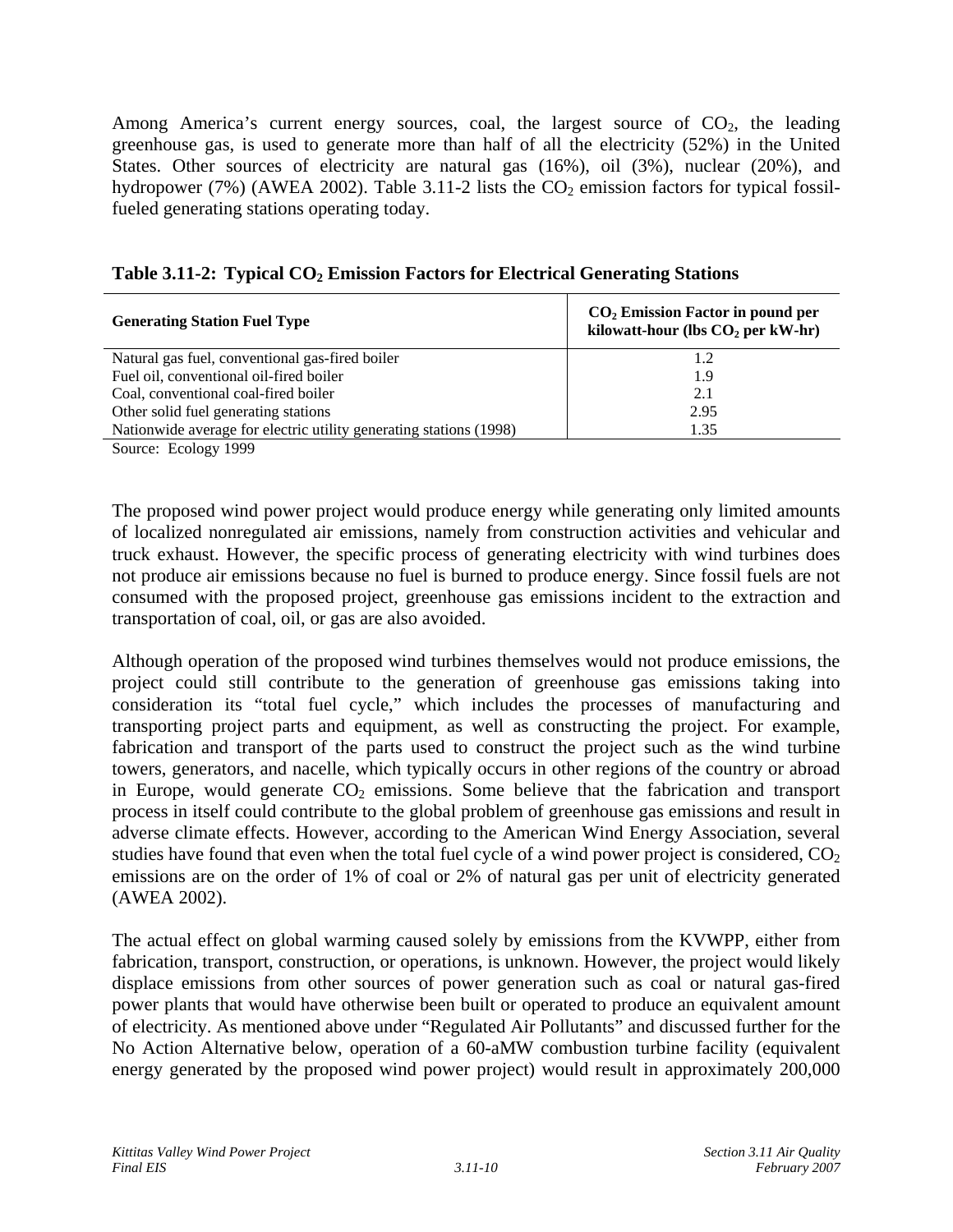Among America's current energy sources, coal, the largest source of  $CO<sub>2</sub>$ , the leading greenhouse gas, is used to generate more than half of all the electricity (52%) in the United States. Other sources of electricity are natural gas (16%), oil (3%), nuclear (20%), and hydropower (7%) (AWEA 2002). Table 3.11-2 lists the  $CO<sub>2</sub>$  emission factors for typical fossilfueled generating stations operating today.

| <b>Generating Station Fuel Type</b>                                | $CO2$ Emission Factor in pound per<br>kilowatt-hour (lbs $CO2$ per kW-hr) |  |  |
|--------------------------------------------------------------------|---------------------------------------------------------------------------|--|--|
| Natural gas fuel, conventional gas-fired boiler                    | 1.2                                                                       |  |  |
| Fuel oil, conventional oil-fired boiler                            | 1.9                                                                       |  |  |
| Coal, conventional coal-fired boiler                               | 2.1                                                                       |  |  |
| Other solid fuel generating stations                               | 2.95                                                                      |  |  |
| Nationwide average for electric utility generating stations (1998) | 1.35                                                                      |  |  |
| Source: Ecology 1999                                               |                                                                           |  |  |

|  |  |  |  |  | Table 3.11-2: Typical CO <sub>2</sub> Emission Factors for Electrical Generating Stations |
|--|--|--|--|--|-------------------------------------------------------------------------------------------|
|--|--|--|--|--|-------------------------------------------------------------------------------------------|

The proposed wind power project would produce energy while generating only limited amounts of localized nonregulated air emissions, namely from construction activities and vehicular and truck exhaust. However, the specific process of generating electricity with wind turbines does not produce air emissions because no fuel is burned to produce energy. Since fossil fuels are not consumed with the proposed project, greenhouse gas emissions incident to the extraction and transportation of coal, oil, or gas are also avoided.

Although operation of the proposed wind turbines themselves would not produce emissions, the project could still contribute to the generation of greenhouse gas emissions taking into consideration its "total fuel cycle," which includes the processes of manufacturing and transporting project parts and equipment, as well as constructing the project. For example, fabrication and transport of the parts used to construct the project such as the wind turbine towers, generators, and nacelle, which typically occurs in other regions of the country or abroad in Europe, would generate  $CO<sub>2</sub>$  emissions. Some believe that the fabrication and transport process in itself could contribute to the global problem of greenhouse gas emissions and result in adverse climate effects. However, according to the American Wind Energy Association, several studies have found that even when the total fuel cycle of a wind power project is considered,  $CO<sub>2</sub>$ emissions are on the order of 1% of coal or 2% of natural gas per unit of electricity generated (AWEA 2002).

The actual effect on global warming caused solely by emissions from the KVWPP, either from fabrication, transport, construction, or operations, is unknown. However, the project would likely displace emissions from other sources of power generation such as coal or natural gas-fired power plants that would have otherwise been built or operated to produce an equivalent amount of electricity. As mentioned above under "Regulated Air Pollutants" and discussed further for the No Action Alternative below, operation of a 60-aMW combustion turbine facility (equivalent energy generated by the proposed wind power project) would result in approximately 200,000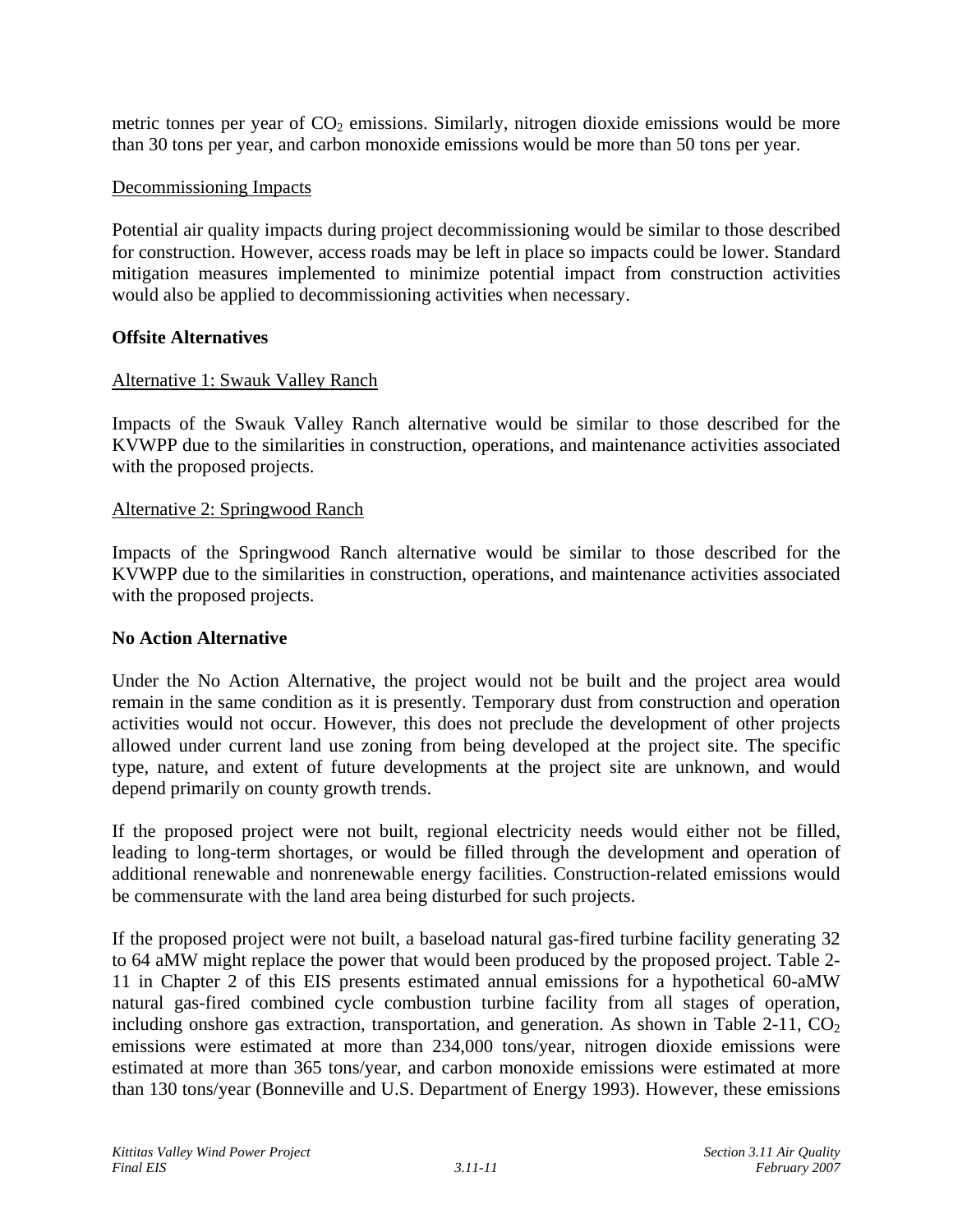metric tonnes per year of  $CO<sub>2</sub>$  emissions. Similarly, nitrogen dioxide emissions would be more than 30 tons per year, and carbon monoxide emissions would be more than 50 tons per year.

#### Decommissioning Impacts

Potential air quality impacts during project decommissioning would be similar to those described for construction. However, access roads may be left in place so impacts could be lower. Standard mitigation measures implemented to minimize potential impact from construction activities would also be applied to decommissioning activities when necessary.

### **Offsite Alternatives**

#### Alternative 1: Swauk Valley Ranch

Impacts of the Swauk Valley Ranch alternative would be similar to those described for the KVWPP due to the similarities in construction, operations, and maintenance activities associated with the proposed projects.

#### Alternative 2: Springwood Ranch

Impacts of the Springwood Ranch alternative would be similar to those described for the KVWPP due to the similarities in construction, operations, and maintenance activities associated with the proposed projects.

#### **No Action Alternative**

Under the No Action Alternative, the project would not be built and the project area would remain in the same condition as it is presently. Temporary dust from construction and operation activities would not occur. However, this does not preclude the development of other projects allowed under current land use zoning from being developed at the project site. The specific type, nature, and extent of future developments at the project site are unknown, and would depend primarily on county growth trends.

If the proposed project were not built, regional electricity needs would either not be filled, leading to long-term shortages, or would be filled through the development and operation of additional renewable and nonrenewable energy facilities. Construction-related emissions would be commensurate with the land area being disturbed for such projects.

If the proposed project were not built, a baseload natural gas-fired turbine facility generating 32 to 64 aMW might replace the power that would been produced by the proposed project. Table 2- 11 in Chapter 2 of this EIS presents estimated annual emissions for a hypothetical 60-aMW natural gas-fired combined cycle combustion turbine facility from all stages of operation, including onshore gas extraction, transportation, and generation. As shown in Table 2-11,  $CO<sub>2</sub>$ emissions were estimated at more than 234,000 tons/year, nitrogen dioxide emissions were estimated at more than 365 tons/year, and carbon monoxide emissions were estimated at more than 130 tons/year (Bonneville and U.S. Department of Energy 1993). However, these emissions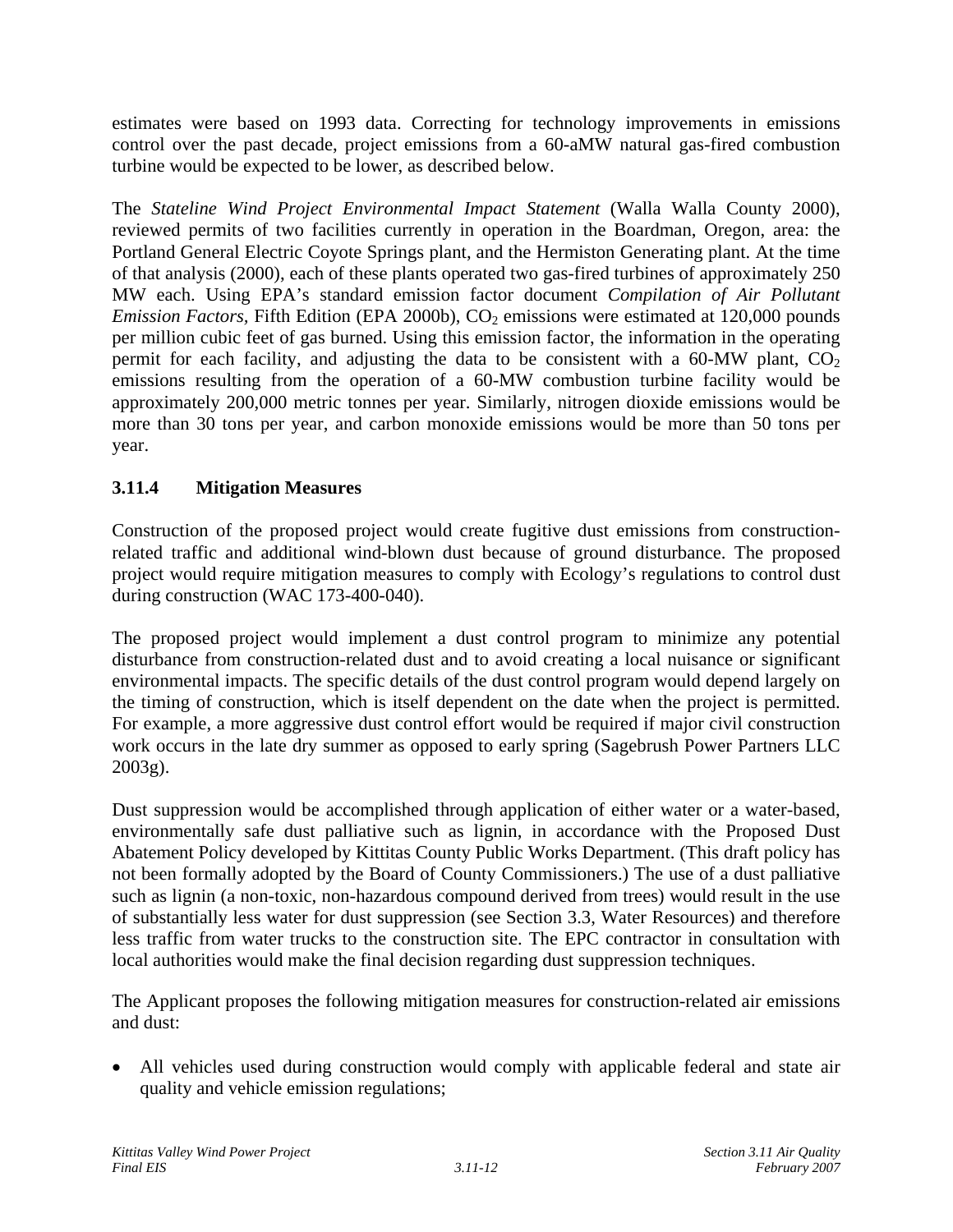estimates were based on 1993 data. Correcting for technology improvements in emissions control over the past decade, project emissions from a 60-aMW natural gas-fired combustion turbine would be expected to be lower, as described below.

The *Stateline Wind Project Environmental Impact Statement* (Walla Walla County 2000), reviewed permits of two facilities currently in operation in the Boardman, Oregon, area: the Portland General Electric Coyote Springs plant, and the Hermiston Generating plant. At the time of that analysis (2000), each of these plants operated two gas-fired turbines of approximately 250 MW each. Using EPA's standard emission factor document *Compilation of Air Pollutant Emission Factors, Fifth Edition (EPA 2000b), CO<sub>2</sub> emissions were estimated at 120,000 pounds* per million cubic feet of gas burned. Using this emission factor, the information in the operating permit for each facility, and adjusting the data to be consistent with a  $60-MW$  plant,  $CO<sub>2</sub>$ emissions resulting from the operation of a 60-MW combustion turbine facility would be approximately 200,000 metric tonnes per year. Similarly, nitrogen dioxide emissions would be more than 30 tons per year, and carbon monoxide emissions would be more than 50 tons per year.

# **3.11.4 Mitigation Measures**

Construction of the proposed project would create fugitive dust emissions from constructionrelated traffic and additional wind-blown dust because of ground disturbance. The proposed project would require mitigation measures to comply with Ecology's regulations to control dust during construction (WAC 173-400-040).

The proposed project would implement a dust control program to minimize any potential disturbance from construction-related dust and to avoid creating a local nuisance or significant environmental impacts. The specific details of the dust control program would depend largely on the timing of construction, which is itself dependent on the date when the project is permitted. For example, a more aggressive dust control effort would be required if major civil construction work occurs in the late dry summer as opposed to early spring (Sagebrush Power Partners LLC 2003g).

Dust suppression would be accomplished through application of either water or a water-based, environmentally safe dust palliative such as lignin, in accordance with the Proposed Dust Abatement Policy developed by Kittitas County Public Works Department. (This draft policy has not been formally adopted by the Board of County Commissioners.) The use of a dust palliative such as lignin (a non-toxic, non-hazardous compound derived from trees) would result in the use of substantially less water for dust suppression (see Section 3.3, Water Resources) and therefore less traffic from water trucks to the construction site. The EPC contractor in consultation with local authorities would make the final decision regarding dust suppression techniques.

The Applicant proposes the following mitigation measures for construction-related air emissions and dust:

• All vehicles used during construction would comply with applicable federal and state air quality and vehicle emission regulations;